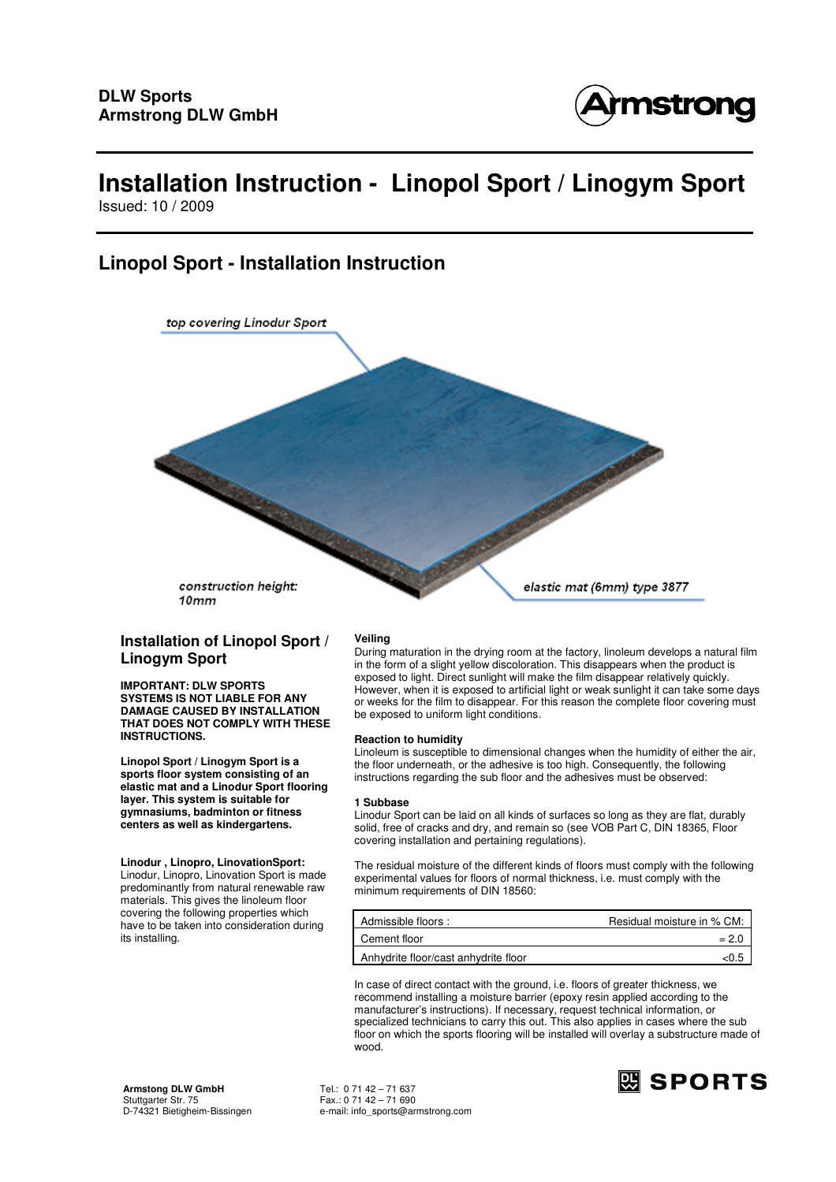

Issued: 10 / 2009

## **Linopol Sport - Installation Instruction**



construction height:  $10mm$ 

## **Installation of Linopol Sport / Linogym Sport**

**IMPORTANT: DLW SPORTS SYSTEMS IS NOT LIABLE FOR ANY DAMAGE CAUSED BY INSTALLATION THAT DOES NOT COMPLY WITH THESE INSTRUCTIONS.** 

**Linopol Sport / Linogym Sport is a sports floor system consisting of an elastic mat and a Linodur Sport flooring layer. This system is suitable for gymnasiums, badminton or fitness centers as well as kindergartens.** 

## **Linodur , Linopro, LinovationSport:**

Linodur, Linopro, Linovation Sport is made predominantly from natural renewable raw materials. This gives the linoleum floor covering the following properties which have to be taken into consideration during its installing.

**Veiling**

During maturation in the drying room at the factory, linoleum develops a natural film in the form of a slight yellow discoloration. This disappears when the product is exposed to light. Direct sunlight will make the film disappear relatively quickly. However, when it is exposed to artificial light or weak sunlight it can take some days or weeks for the film to disappear. For this reason the complete floor covering must be exposed to uniform light conditions.

## **Reaction to humidity**

Linoleum is susceptible to dimensional changes when the humidity of either the air, the floor underneath, or the adhesive is too high. Consequently, the following instructions regarding the sub floor and the adhesives must be observed:

## **1 Subbase**

Linodur Sport can be laid on all kinds of surfaces so long as they are flat, durably solid, free of cracks and dry, and remain so (see VOB Part C, DIN 18365, Floor covering installation and pertaining regulations).

The residual moisture of the different kinds of floors must comply with the following experimental values for floors of normal thickness, i.e. must comply with the minimum requirements of DIN 18560:

| Admissible floors:                   | Residual moisture in % CM: |
|--------------------------------------|----------------------------|
| Cement floor                         | $= 2.0$                    |
| Anhydrite floor/cast anhydrite floor | <0.5                       |

In case of direct contact with the ground, i.e. floors of greater thickness, we recommend installing a moisture barrier (epoxy resin applied according to the manufacturer's instructions). If necessary, request technical information, or specialized technicians to carry this out. This also applies in cases where the sub floor on which the sports flooring will be installed will overlay a substructure made of wood.

**Armstong DLW GmbH** Tel.: 0 71 42 – 71 637 Stuttgarter Str. 75 Fax.: 0 71 42 – 71 690

D-74321 Bietigheim-Bissingen e-mail: info\_sports@armstrong.com

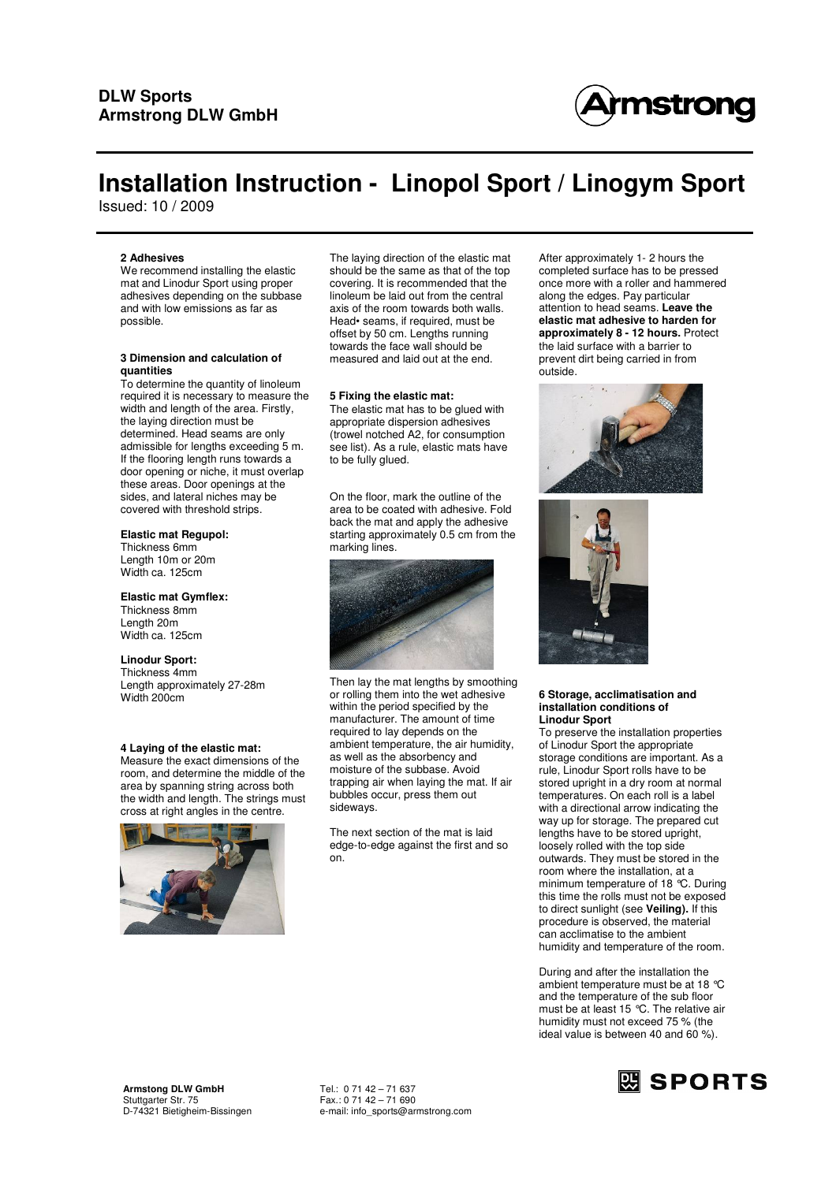

Issued: 10 / 2009

### **2 Adhesives**

We recommend installing the elastic mat and Linodur Sport using proper adhesives depending on the subbase and with low emissions as far as possible.

#### **3 Dimension and calculation of quantities**

To determine the quantity of linoleum required it is necessary to measure the width and length of the area. Firstly, the laying direction must be determined. Head seams are only admissible for lengths exceeding 5 m. If the flooring length runs towards a door opening or niche, it must overlap these areas. Door openings at the sides, and lateral niches may be covered with threshold strips.

## **Elastic mat Regupol:**

Thickness 6mm Length 10m or 20m Width ca. 125cm

**Elastic mat Gymflex:** Thickness 8mm Length 20m Width ca. 125cm

## **Linodur Sport:**

Thickness 4mm Length approximately 27-28m Width 200cm

### **4 Laying of the elastic mat:**

Measure the exact dimensions of the room, and determine the middle of the area by spanning string across both the width and length. The strings must cross at right angles in the centre.



The laying direction of the elastic mat should be the same as that of the top covering. It is recommended that the linoleum be laid out from the central axis of the room towards both walls. Head• seams, if required, must be offset by 50 cm. Lengths running towards the face wall should be measured and laid out at the end.

### **5 Fixing the elastic mat:**

The elastic mat has to be glued with appropriate dispersion adhesives (trowel notched A2, for consumption see list). As a rule, elastic mats have to be fully glued.

On the floor, mark the outline of the area to be coated with adhesive. Fold back the mat and apply the adhesive starting approximately 0.5 cm from the marking lines.



Then lay the mat lengths by smoothing or rolling them into the wet adhesive within the period specified by the manufacturer. The amount of time required to lay depends on the ambient temperature, the air humidity, as well as the absorbency and moisture of the subbase. Avoid trapping air when laying the mat. If air bubbles occur, press them out sideways.

The next section of the mat is laid edge-to-edge against the first and so on.

After approximately 1- 2 hours the completed surface has to be pressed once more with a roller and hammered along the edges. Pay particular attention to head seams. **Leave the elastic mat adhesive to harden for approximately 8 - 12 hours.** Protect the laid surface with a barrier to prevent dirt being carried in from outside.





### **6 Storage, acclimatisation and installation conditions of Linodur Sport**

To preserve the installation properties of Linodur Sport the appropriate storage conditions are important. As a rule, Linodur Sport rolls have to be stored upright in a dry room at normal temperatures. On each roll is a label with a directional arrow indicating the way up for storage. The prepared cut lengths have to be stored upright, loosely rolled with the top side outwards. They must be stored in the room where the installation, at a minimum temperature of 18 °C. During this time the rolls must not be exposed to direct sunlight (see **Veiling).** If this procedure is observed, the material can acclimatise to the ambient humidity and temperature of the room.

During and after the installation the ambient temperature must be at 18 °C and the temperature of the sub floor must be at least 15 °C. The relative air humidity must not exceed 75 % (the ideal value is between 40 and 60 %).

D-74321 Bietigheim-Bissingen e-mail: info\_sports@armstrong.com

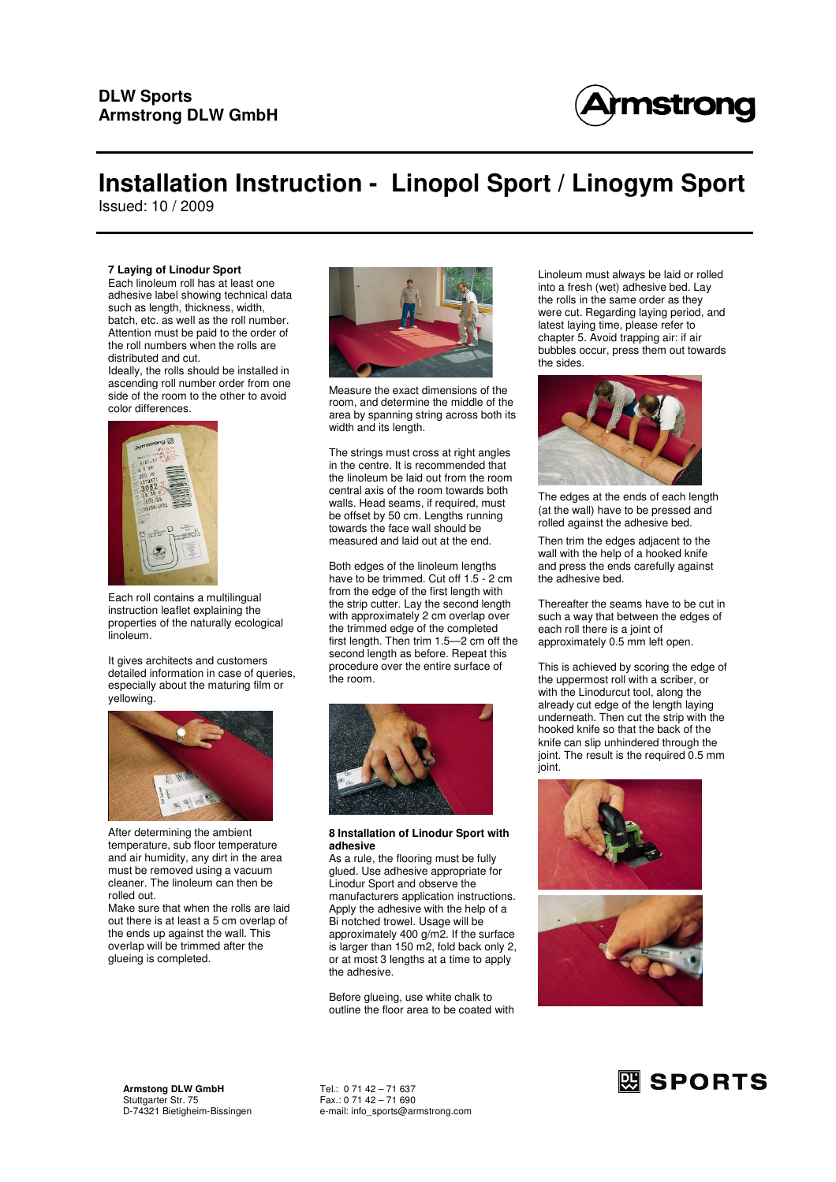

Issued: 10 / 2009

### **7 Laying of Linodur Sport**

Each linoleum roll has at least one adhesive label showing technical data such as length, thickness, width, batch, etc. as well as the roll number. Attention must be paid to the order of the roll numbers when the rolls are distributed and cut.

Ideally, the rolls should be installed in ascending roll number order from one side of the room to the other to avoid color differences.



Each roll contains a multilingual instruction leaflet explaining the properties of the naturally ecological linoleum.

It gives architects and customers detailed information in case of queries, especially about the maturing film or yellowing.



After determining the ambient temperature, sub floor temperature and air humidity, any dirt in the area must be removed using a vacuum cleaner. The linoleum can then be rolled out.

Make sure that when the rolls are laid out there is at least a 5 cm overlap of the ends up against the wall. This overlap will be trimmed after the glueing is completed.



Measure the exact dimensions of the room, and determine the middle of the area by spanning string across both its width and its length.

The strings must cross at right angles in the centre. It is recommended that the linoleum be laid out from the room central axis of the room towards both walls. Head seams, if required, must be offset by 50 cm. Lengths running towards the face wall should be measured and laid out at the end.

Both edges of the linoleum lengths have to be trimmed. Cut off 1.5 - 2 cm from the edge of the first length with the strip cutter. Lay the second length with approximately 2 cm overlap over the trimmed edge of the completed first length. Then trim 1.5—2 cm off the second length as before. Repeat this procedure over the entire surface of the room.



### **8 Installation of Linodur Sport with adhesive**

As a rule, the flooring must be fully glued. Use adhesive appropriate for Linodur Sport and observe the manufacturers application instructions. Apply the adhesive with the help of a Bi notched trowel. Usage will be approximately 400 g/m2. If the surface is larger than 150 m2, fold back only 2, or at most 3 lengths at a time to apply the adhesive.

Before glueing, use white chalk to outline the floor area to be coated with Linoleum must always be laid or rolled into a fresh (wet) adhesive bed. Lay the rolls in the same order as they were cut. Regarding laying period, and latest laying time, please refer to chapter 5. Avoid trapping air: if air bubbles occur, press them out towards the sides.



The edges at the ends of each length (at the wall) have to be pressed and rolled against the adhesive bed.

Then trim the edges adjacent to the wall with the help of a hooked knife and press the ends carefully against the adhesive bed.

Thereafter the seams have to be cut in such a way that between the edges of each roll there is a joint of approximately 0.5 mm left open.

This is achieved by scoring the edge of the uppermost roll with a scriber, or with the Linodurcut tool, along the already cut edge of the length laying underneath. Then cut the strip with the hooked knife so that the back of the knife can slip unhindered through the joint. The result is the required 0.5 mm joint.



**Armstong DLW GmbH** Tel.: 0 71 42 – 71 637 Stuttgarter Str. 75 Fax.: 0 71 42 – 71 690

D-74321 Bietigheim-Bissingen e-mail: info\_sports@armstrong.com

## 网 SPORTS